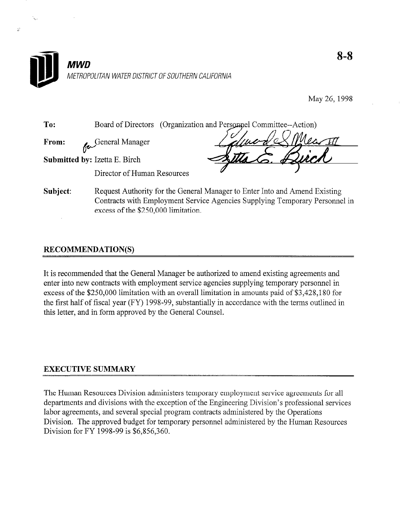

May 26,1998

**To:** Board of Directors (Organization and Personnel Committee-Action From: General Manager r Submitted by: Izetta E. Birch Director of Human Resources Subject: Request Authority for the General Manager to Enter Into and Amend Existing

Contracts with Employment Service Agencies Supplying Temporary Personnel in excess of the \$250,000 limitation.

## RECOMMENDATION(S)

 $\ddot{\omega}$ 

It is recommended that the General Manager be authorized to amend existing agreements and enter into new contracts with employment service agencies supplying temporary personnel in excess of the \$250,000 limitation with an overall limitation in amounts paid of \$3,428,180 for the first half of fiscal year (FY) 1998-99, substantially in accordance with the terms outlined in this letter, and in form approved by the General Counsel.

## EXECUTIVE SUMMARY

The Human Resources Division administers temporary employment service agreements for all departments and divisions with the exception of the Engineering Division's professional services labor agreements, and several special program contracts administered by the Operations Division. The approved budget for temporary personnel administered by the Human Resources Division for FY 1998-99 is \$6,856,360.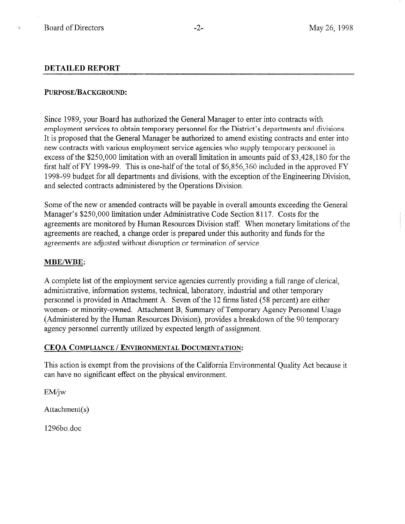k.

#### DETAILED REPORT

#### PURPOSE/BACKGROUND:

Since 1989, your Board has authorized the General Manager to enter into contracts with employment services to obtain temporary personnel for the District's departments and divisions. It is proposed that the General Manager be authorized to amend existing contracts and enter into new contracts with various employment service agencies who supply temporary personnel in excess of the \$250,000 limitation with an overall limitation in amounts paid of \$3,428,180 for the first half of FY 1998-99. This is one-half of the total of \$6,856,360 included in the approved FY 1998-99 budget for all departments and divisions, with the exception of the Engineering Division, and selected contracts administered by the Operations Division.

Some of the new or amended contracts will be payable in overall amounts exceeding the General Manager's \$250,000 limitation under Administrative Code Section 8 117. Costs for the agreements are monitored by Human Resources Division staff. When monetary limitations of the agreements are reached, a change order is prepared under this authority and funds for the agreements are adjusted without disruption or termination of service.

#### MBE/WBE:

A complete list of the employment service agencies currently providing a full range of clerical, administrative, information systems, technical, laboratory, industrial and other temporary personnel is provided in Attachment A. Seven of the 12 firms listed (58 percent) are either women- or minority-owned. Attachment B, Summary of Temporary Agency Personnel Usage (Administered by the Human Resources Division), provides a breakdown of the 90 temporary agency personnel currently utilized by expected length of assignment.

### CEOA COMPLIANCE / ENVIRONMENTAL DOCUMENTATION:

This action is exempt from the provisions of the California Environmental Quality Act because it can have no significant effect on the physical environment.

EM/jw

Attachment(s)

1296bo.doc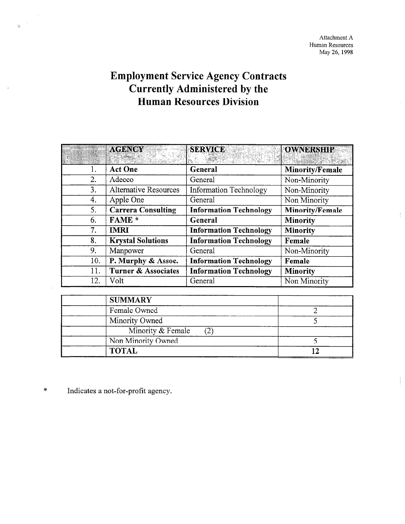Attachment A Human Resources May 26, 1998

 $\frac{1}{2}$ 

ţ

# Employment Service Agency Contracts Currently Administered by the Human Resources Division

|     | <b>AGENCY</b>                | <b>SERVICE</b>                | <b>OWNERSHIP</b> |
|-----|------------------------------|-------------------------------|------------------|
| Ī.  | <b>Act One</b>               | General                       | Minority/Female  |
| 2.  | Adecco                       | General                       | Non-Minority     |
| 3.  | <b>Alternative Resources</b> | <b>Information Technology</b> | Non-Minority     |
| 4.  | Apple One                    | General                       | Non Minority     |
| 5.  | <b>Carrera Consulting</b>    | <b>Information Technology</b> | Minority/Female  |
| 6.  | FAME *                       | General                       | <b>Minority</b>  |
| 7.  | <b>IMRI</b>                  | <b>Information Technology</b> | <b>Minority</b>  |
| 8.  | <b>Krystal Solutions</b>     | <b>Information Technology</b> | Female           |
| 9.  | Manpower                     | General                       | Non-Minority     |
| 10. | P. Murphy & Assoc.           | <b>Information Technology</b> | Female           |
| 11. | Turner & Associates          | <b>Information Technology</b> | <b>Minority</b>  |
| 12. | Volt                         | General                       | Non Minority     |

| <b>SUMMARY</b>     |  |
|--------------------|--|
| Female Owned       |  |
| Minority Owned     |  |
| Minority & Female  |  |
| Non Minority Owned |  |
| <b>TOTAL</b>       |  |

\* Indicates a not-for-profit agency.

 $\sim$ 

 $\sim$  $\sim$